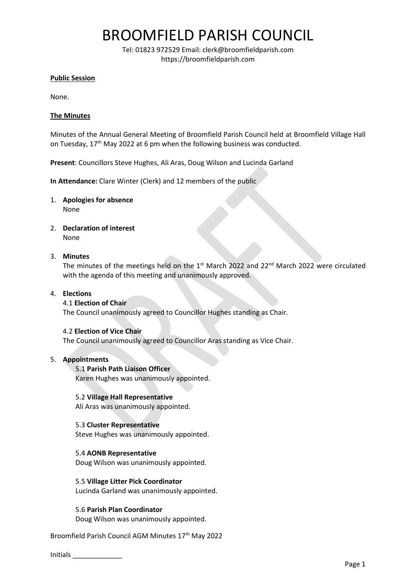## BROOMFIELD PARISH COUNCIL

Tel: 01823 972529 Email: clerk@broomfieldparish.com https://broomfieldparish.com

## **Public Session**

None.

## **The Minutes**

Minutes of the Annual General Meeting of Broomfield Parish Council held at Broomfield Village Hall on Tuesday, 17<sup>th</sup> May 2022 at 6 pm when the following business was conducted.

**Present**: Councillors Steve Hughes, Ali Aras, Doug Wilson and Lucinda Garland

**In Attendance:** Clare Winter (Clerk) and 12 members of the public

- 1. **Apologies for absence** None
- 2. **Declaration of interest** None

## 3. **Minutes**

The minutes of the meetings held on the  $1<sup>st</sup>$  March 2022 and 22<sup>nd</sup> March 2022 were circulated with the agenda of this meeting and unanimously approved.

### 4. **Elections**

#### 4.1 **Election of Chair**

The Council unanimously agreed to Councillor Hughes standing as Chair.

#### 4.2 **Election of Vice Chair**

The Council unanimously agreed to Councillor Aras standing as Vice Chair.

#### 5. **Appointments**

## 5.1 **Parish Path Liaison Officer**

Karen Hughes was unanimously appointed.

#### 5.2 **Village Hall Representative**

Ali Aras was unanimously appointed.

#### 5.3 **Cluster Representative**

Steve Hughes was unanimously appointed.

## 5.4 **AONB Representative**

Doug Wilson was unanimously appointed.

## 5.5 **Village Litter Pick Coordinator**

Lucinda Garland was unanimously appointed.

## 5.6 **Parish Plan Coordinator**

Doug Wilson was unanimously appointed.

Broomfield Parish Council AGM Minutes 17th May 2022

Initials \_\_\_\_\_\_\_\_\_\_\_\_\_